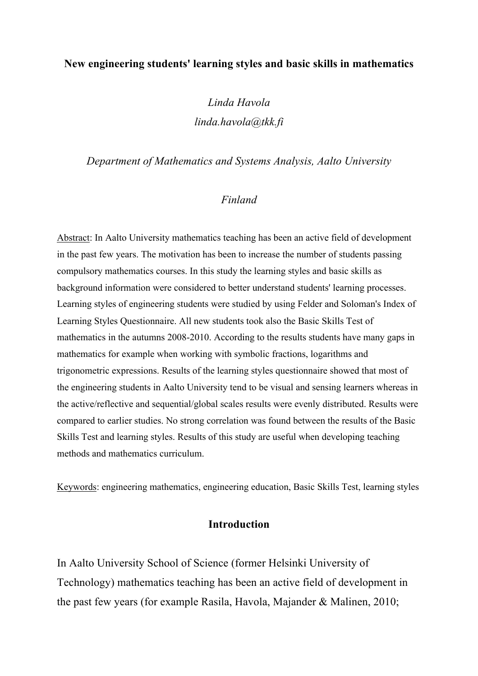## **New engineering students' learning styles and basic skills in mathematics**

# *Linda Havola linda.havola@tkk.fi*

#### *Department of Mathematics and Systems Analysis, Aalto University*

# *Finland*

Abstract: In Aalto University mathematics teaching has been an active field of development in the past few years. The motivation has been to increase the number of students passing compulsory mathematics courses. In this study the learning styles and basic skills as background information were considered to better understand students' learning processes. Learning styles of engineering students were studied by using Felder and Soloman's Index of Learning Styles Questionnaire. All new students took also the Basic Skills Test of mathematics in the autumns 2008-2010. According to the results students have many gaps in mathematics for example when working with symbolic fractions, logarithms and trigonometric expressions. Results of the learning styles questionnaire showed that most of the engineering students in Aalto University tend to be visual and sensing learners whereas in the active/reflective and sequential/global scales results were evenly distributed. Results were compared to earlier studies. No strong correlation was found between the results of the Basic Skills Test and learning styles. Results of this study are useful when developing teaching methods and mathematics curriculum.

Keywords: engineering mathematics, engineering education, Basic Skills Test, learning styles

# **Introduction**

In Aalto University School of Science (former Helsinki University of Technology) mathematics teaching has been an active field of development in the past few years (for example Rasila, Havola, Majander & Malinen, 2010;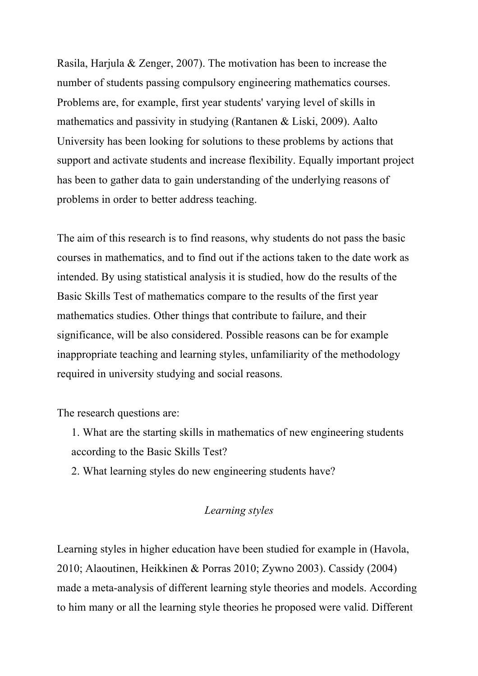Rasila, Harjula & Zenger, 2007). The motivation has been to increase the number of students passing compulsory engineering mathematics courses. Problems are, for example, first year students' varying level of skills in mathematics and passivity in studying (Rantanen & Liski, 2009). Aalto University has been looking for solutions to these problems by actions that support and activate students and increase flexibility. Equally important project has been to gather data to gain understanding of the underlying reasons of problems in order to better address teaching.

The aim of this research is to find reasons, why students do not pass the basic courses in mathematics, and to find out if the actions taken to the date work as intended. By using statistical analysis it is studied, how do the results of the Basic Skills Test of mathematics compare to the results of the first year mathematics studies. Other things that contribute to failure, and their significance, will be also considered. Possible reasons can be for example inappropriate teaching and learning styles, unfamiliarity of the methodology required in university studying and social reasons.

The research questions are:

- 1. What are the starting skills in mathematics of new engineering students according to the Basic Skills Test?
- 2. What learning styles do new engineering students have?

# *Learning styles*

Learning styles in higher education have been studied for example in (Havola, 2010; Alaoutinen, Heikkinen & Porras 2010; Zywno 2003). Cassidy (2004) made a meta-analysis of different learning style theories and models. According to him many or all the learning style theories he proposed were valid. Different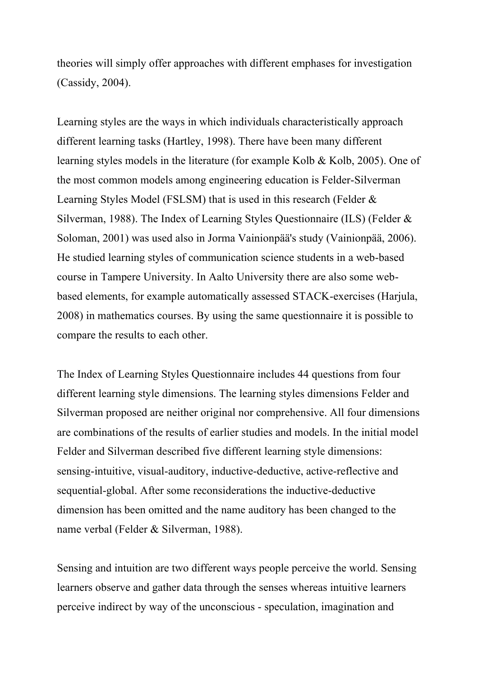theories will simply offer approaches with different emphases for investigation (Cassidy, 2004).

Learning styles are the ways in which individuals characteristically approach different learning tasks (Hartley, 1998). There have been many different learning styles models in the literature (for example Kolb & Kolb, 2005). One of the most common models among engineering education is Felder-Silverman Learning Styles Model (FSLSM) that is used in this research (Felder & Silverman, 1988). The Index of Learning Styles Questionnaire (ILS) (Felder & Soloman, 2001) was used also in Jorma Vainionpää's study (Vainionpää, 2006). He studied learning styles of communication science students in a web-based course in Tampere University. In Aalto University there are also some webbased elements, for example automatically assessed STACK-exercises (Harjula, 2008) in mathematics courses. By using the same questionnaire it is possible to compare the results to each other.

The Index of Learning Styles Questionnaire includes 44 questions from four different learning style dimensions. The learning styles dimensions Felder and Silverman proposed are neither original nor comprehensive. All four dimensions are combinations of the results of earlier studies and models. In the initial model Felder and Silverman described five different learning style dimensions: sensing-intuitive, visual-auditory, inductive-deductive, active-reflective and sequential-global. After some reconsiderations the inductive-deductive dimension has been omitted and the name auditory has been changed to the name verbal (Felder & Silverman, 1988).

Sensing and intuition are two different ways people perceive the world. Sensing learners observe and gather data through the senses whereas intuitive learners perceive indirect by way of the unconscious - speculation, imagination and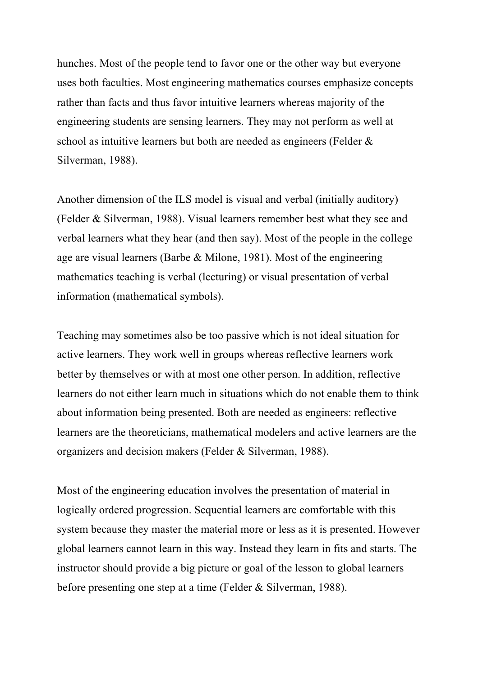hunches. Most of the people tend to favor one or the other way but everyone uses both faculties. Most engineering mathematics courses emphasize concepts rather than facts and thus favor intuitive learners whereas majority of the engineering students are sensing learners. They may not perform as well at school as intuitive learners but both are needed as engineers (Felder & Silverman, 1988).

Another dimension of the ILS model is visual and verbal (initially auditory) (Felder & Silverman, 1988). Visual learners remember best what they see and verbal learners what they hear (and then say). Most of the people in the college age are visual learners (Barbe & Milone, 1981). Most of the engineering mathematics teaching is verbal (lecturing) or visual presentation of verbal information (mathematical symbols).

Teaching may sometimes also be too passive which is not ideal situation for active learners. They work well in groups whereas reflective learners work better by themselves or with at most one other person. In addition, reflective learners do not either learn much in situations which do not enable them to think about information being presented. Both are needed as engineers: reflective learners are the theoreticians, mathematical modelers and active learners are the organizers and decision makers (Felder & Silverman, 1988).

Most of the engineering education involves the presentation of material in logically ordered progression. Sequential learners are comfortable with this system because they master the material more or less as it is presented. However global learners cannot learn in this way. Instead they learn in fits and starts. The instructor should provide a big picture or goal of the lesson to global learners before presenting one step at a time (Felder & Silverman, 1988).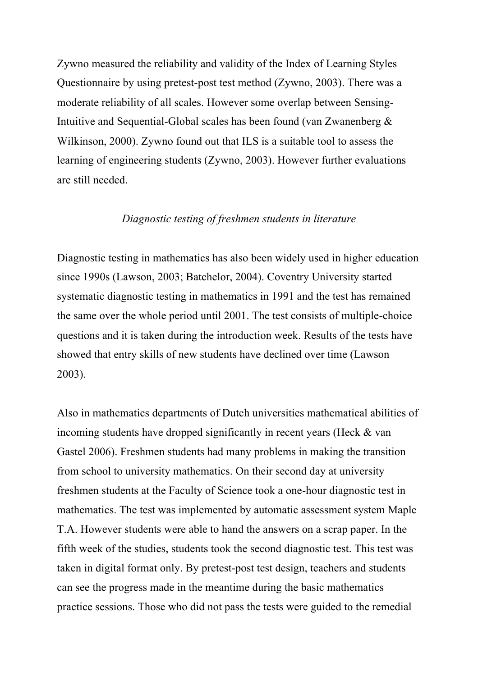Zywno measured the reliability and validity of the Index of Learning Styles Questionnaire by using pretest-post test method (Zywno, 2003). There was a moderate reliability of all scales. However some overlap between Sensing-Intuitive and Sequential-Global scales has been found (van Zwanenberg & Wilkinson, 2000). Zywno found out that ILS is a suitable tool to assess the learning of engineering students (Zywno, 2003). However further evaluations are still needed.

# *Diagnostic testing of freshmen students in literature*

Diagnostic testing in mathematics has also been widely used in higher education since 1990s (Lawson, 2003; Batchelor, 2004). Coventry University started systematic diagnostic testing in mathematics in 1991 and the test has remained the same over the whole period until 2001. The test consists of multiple-choice questions and it is taken during the introduction week. Results of the tests have showed that entry skills of new students have declined over time (Lawson 2003).

Also in mathematics departments of Dutch universities mathematical abilities of incoming students have dropped significantly in recent years (Heck & van Gastel 2006). Freshmen students had many problems in making the transition from school to university mathematics. On their second day at university freshmen students at the Faculty of Science took a one-hour diagnostic test in mathematics. The test was implemented by automatic assessment system Maple T.A. However students were able to hand the answers on a scrap paper. In the fifth week of the studies, students took the second diagnostic test. This test was taken in digital format only. By pretest-post test design, teachers and students can see the progress made in the meantime during the basic mathematics practice sessions. Those who did not pass the tests were guided to the remedial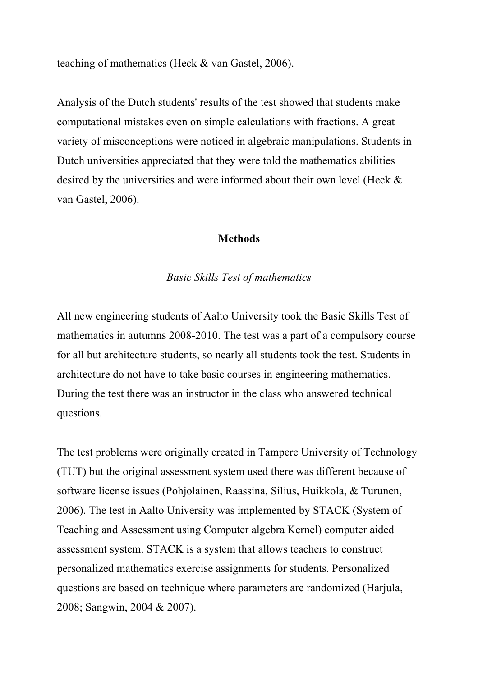teaching of mathematics (Heck & van Gastel, 2006).

Analysis of the Dutch students' results of the test showed that students make computational mistakes even on simple calculations with fractions. A great variety of misconceptions were noticed in algebraic manipulations. Students in Dutch universities appreciated that they were told the mathematics abilities desired by the universities and were informed about their own level (Heck & van Gastel, 2006).

## **Methods**

## *Basic Skills Test of mathematics*

All new engineering students of Aalto University took the Basic Skills Test of mathematics in autumns 2008-2010. The test was a part of a compulsory course for all but architecture students, so nearly all students took the test. Students in architecture do not have to take basic courses in engineering mathematics. During the test there was an instructor in the class who answered technical questions.

The test problems were originally created in Tampere University of Technology (TUT) but the original assessment system used there was different because of software license issues (Pohjolainen, Raassina, Silius, Huikkola, & Turunen, 2006). The test in Aalto University was implemented by STACK (System of Teaching and Assessment using Computer algebra Kernel) computer aided assessment system. STACK is a system that allows teachers to construct personalized mathematics exercise assignments for students. Personalized questions are based on technique where parameters are randomized (Harjula, 2008; Sangwin, 2004 & 2007).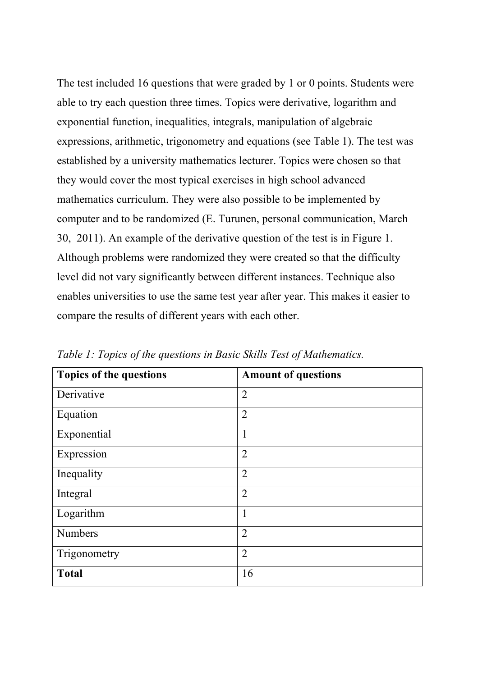The test included 16 questions that were graded by 1 or 0 points. Students were able to try each question three times. Topics were derivative, logarithm and exponential function, inequalities, integrals, manipulation of algebraic expressions, arithmetic, trigonometry and equations (see Table 1). The test was established by a university mathematics lecturer. Topics were chosen so that they would cover the most typical exercises in high school advanced mathematics curriculum. They were also possible to be implemented by computer and to be randomized (E. Turunen, personal communication, March 30, 2011). An example of the derivative question of the test is in Figure 1. Although problems were randomized they were created so that the difficulty level did not vary significantly between different instances. Technique also enables universities to use the same test year after year. This makes it easier to compare the results of different years with each other.

| <b>Topics of the questions</b> | <b>Amount of questions</b> |
|--------------------------------|----------------------------|
| Derivative                     | $\overline{2}$             |
| Equation                       | $\overline{2}$             |
| Exponential                    | 1                          |
| Expression                     | $\overline{2}$             |
| Inequality                     | $\overline{2}$             |
| Integral                       | $\overline{2}$             |
| Logarithm                      | $\mathbf{1}$               |
| <b>Numbers</b>                 | $\overline{2}$             |
| Trigonometry                   | $\overline{2}$             |
| <b>Total</b>                   | 16                         |

*Table 1: Topics of the questions in Basic Skills Test of Mathematics.*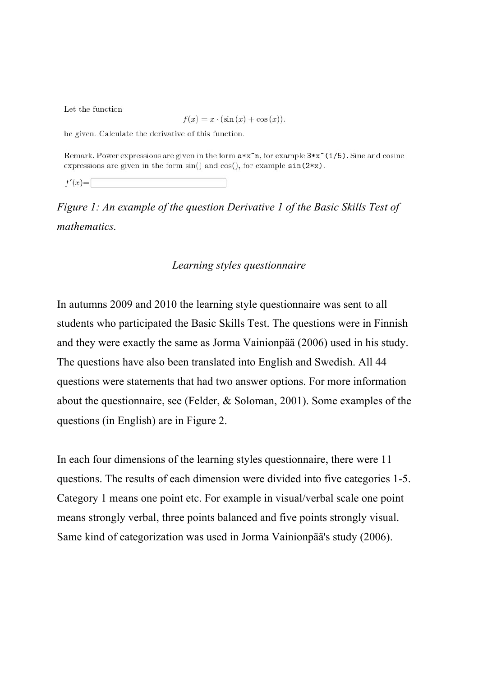Let the function

$$
f(x) = x \cdot (\sin(x) + \cos(x)).
$$

be given. Calculate the derivative of this function.

Remark. Power expressions are given in the form  $a*x^n$ , for example  $3*x^(1/5)$ . Sine and cosine expressions are given in the form  $sin()$  and  $cos()$ , for example  $sin(2*x)$ .

 $f'(x) =$ 

*Figure 1: An example of the question Derivative 1 of the Basic Skills Test of mathematics.* 

#### *Learning styles questionnaire*

In autumns 2009 and 2010 the learning style questionnaire was sent to all students who participated the Basic Skills Test. The questions were in Finnish and they were exactly the same as Jorma Vainionpää (2006) used in his study. The questions have also been translated into English and Swedish. All 44 questions were statements that had two answer options. For more information about the questionnaire, see (Felder, & Soloman, 2001). Some examples of the questions (in English) are in Figure 2.

In each four dimensions of the learning styles questionnaire, there were 11 questions. The results of each dimension were divided into five categories 1-5. Category 1 means one point etc. For example in visual/verbal scale one point means strongly verbal, three points balanced and five points strongly visual. Same kind of categorization was used in Jorma Vainionpää's study (2006).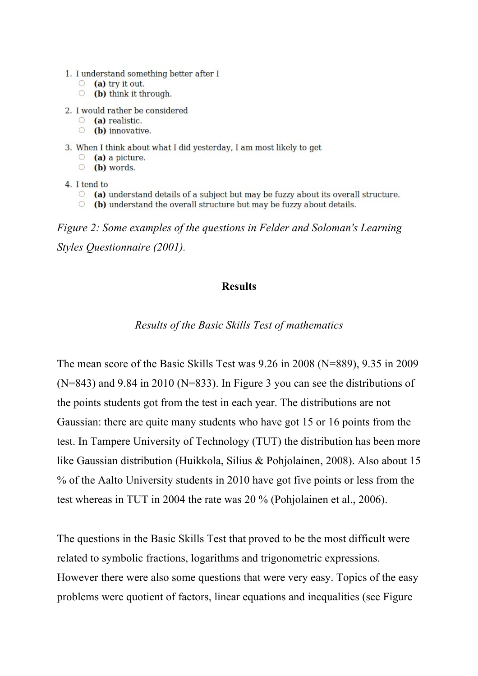- 1. I understand something better after I
	- $\circ$  (a) try it out.
	- $\circ$  (b) think it through.
- 2. I would rather be considered
	- $\circ$  (a) realistic.
	- $\circ$  (b) innovative.
- 3. When I think about what I did yesterday, I am most likely to get
	- $\circ$  (a) a picture.
	- $\circ$  (b) words.
- 4. I tend to
	- $\circ$  (a) understand details of a subject but may be fuzzy about its overall structure.
	- $\circ$  (b) understand the overall structure but may be fuzzy about details.

*Figure 2: Some examples of the questions in Felder and Soloman's Learning Styles Questionnaire (2001).*

# **Results**

*Results of the Basic Skills Test of mathematics*

The mean score of the Basic Skills Test was 9.26 in 2008 (N=889), 9.35 in 2009 (N=843) and 9.84 in 2010 (N=833). In Figure 3 you can see the distributions of the points students got from the test in each year. The distributions are not Gaussian: there are quite many students who have got 15 or 16 points from the test. In Tampere University of Technology (TUT) the distribution has been more like Gaussian distribution (Huikkola, Silius & Pohjolainen, 2008). Also about 15 % of the Aalto University students in 2010 have got five points or less from the test whereas in TUT in 2004 the rate was 20 % (Pohjolainen et al., 2006).

The questions in the Basic Skills Test that proved to be the most difficult were related to symbolic fractions, logarithms and trigonometric expressions. However there were also some questions that were very easy. Topics of the easy problems were quotient of factors, linear equations and inequalities (see Figure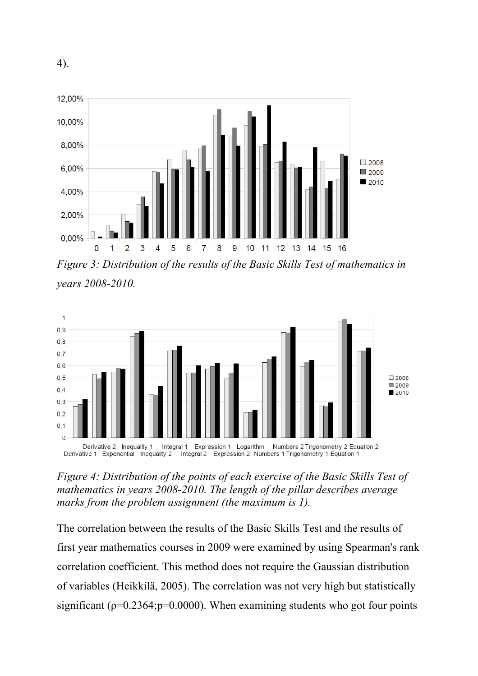

*Figure 3: Distribution of the results of the Basic Skills Test of mathematics in years 2008-2010.* 



*Figure 4: Distribution of the points of each exercise of the Basic Skills Test of mathematics in years 2008-2010. The length of the pillar describes average marks from the problem assignment (the maximum is 1).*

The correlation between the results of the Basic Skills Test and the results of first year mathematics courses in 2009 were examined by using Spearman's rank correlation coefficient. This method does not require the Gaussian distribution of variables (Heikkilä, 2005). The correlation was not very high but statistically significant ( $p=0.2364$ ;  $p=0.0000$ ). When examining students who got four points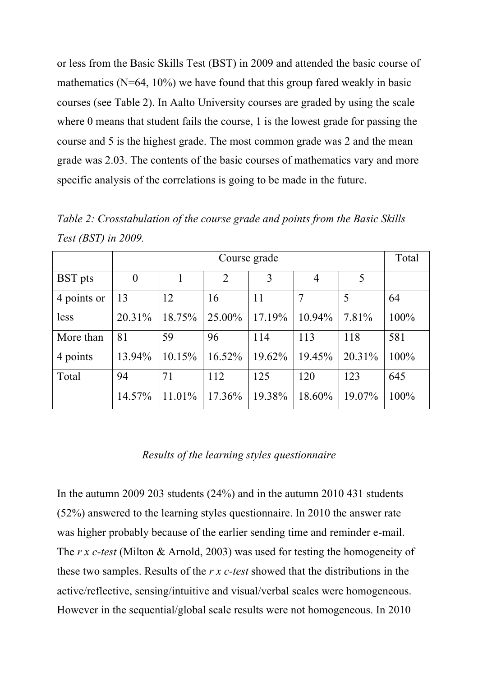or less from the Basic Skills Test (BST) in 2009 and attended the basic course of mathematics ( $N=64$ ,  $10\%$ ) we have found that this group fared weakly in basic courses (see Table 2). In Aalto University courses are graded by using the scale where 0 means that student fails the course, 1 is the lowest grade for passing the course and 5 is the highest grade. The most common grade was 2 and the mean grade was 2.03. The contents of the basic courses of mathematics vary and more specific analysis of the correlations is going to be made in the future.

|                | Course grade   |        |                |        |        |        |      |
|----------------|----------------|--------|----------------|--------|--------|--------|------|
| <b>BST</b> pts | $\overline{0}$ |        | $\overline{2}$ | 3      | 4      | 5      |      |
| 4 points or    | 13             | 12     | 16             | 11     |        | 5      | 64   |
| less           | 20.31%         | 18.75% | 25.00%         | 17.19% | 10.94% | 7.81%  | 100% |
| More than      | 81             | 59     | 96             | 114    | 113    | 118    | 581  |
| 4 points       | 13.94%         | 10.15% | 16.52%         | 19.62% | 19.45% | 20.31% | 100% |
| Total          | 94             | 71     | 112            | 125    | 120    | 123    | 645  |
|                | 14.57%         | 11.01% | 17.36%         | 19.38% | 18.60% | 19.07% | 100% |

*Table 2: Crosstabulation of the course grade and points from the Basic Skills Test (BST) in 2009.*

### *Results of the learning styles questionnaire*

In the autumn 2009 203 students (24%) and in the autumn 2010 431 students (52%) answered to the learning styles questionnaire. In 2010 the answer rate was higher probably because of the earlier sending time and reminder e-mail. The *r x c-test* (Milton & Arnold, 2003) was used for testing the homogeneity of these two samples. Results of the *r x c-test* showed that the distributions in the active/reflective, sensing/intuitive and visual/verbal scales were homogeneous. However in the sequential/global scale results were not homogeneous. In 2010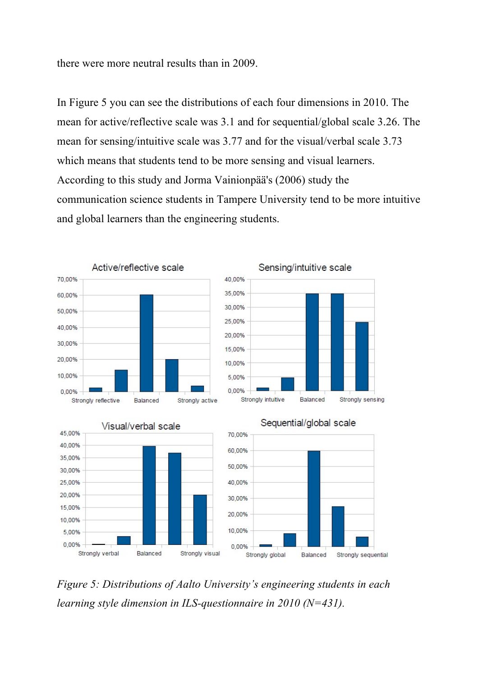there were more neutral results than in 2009.

In Figure 5 you can see the distributions of each four dimensions in 2010. The mean for active/reflective scale was 3.1 and for sequential/global scale 3.26. The mean for sensing/intuitive scale was 3.77 and for the visual/verbal scale 3.73 which means that students tend to be more sensing and visual learners. According to this study and Jorma Vainionpää's (2006) study the communication science students in Tampere University tend to be more intuitive and global learners than the engineering students.









*Figure 5: Distributions of Aalto University's engineering students in each learning style dimension in ILS-questionnaire in 2010 (N=431).*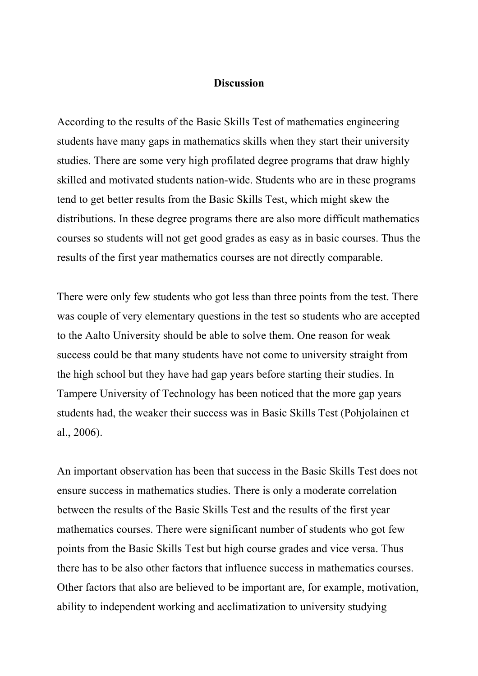#### **Discussion**

According to the results of the Basic Skills Test of mathematics engineering students have many gaps in mathematics skills when they start their university studies. There are some very high profilated degree programs that draw highly skilled and motivated students nation-wide. Students who are in these programs tend to get better results from the Basic Skills Test, which might skew the distributions. In these degree programs there are also more difficult mathematics courses so students will not get good grades as easy as in basic courses. Thus the results of the first year mathematics courses are not directly comparable.

There were only few students who got less than three points from the test. There was couple of very elementary questions in the test so students who are accepted to the Aalto University should be able to solve them. One reason for weak success could be that many students have not come to university straight from the high school but they have had gap years before starting their studies. In Tampere University of Technology has been noticed that the more gap years students had, the weaker their success was in Basic Skills Test (Pohjolainen et al., 2006).

An important observation has been that success in the Basic Skills Test does not ensure success in mathematics studies. There is only a moderate correlation between the results of the Basic Skills Test and the results of the first year mathematics courses. There were significant number of students who got few points from the Basic Skills Test but high course grades and vice versa. Thus there has to be also other factors that influence success in mathematics courses. Other factors that also are believed to be important are, for example, motivation, ability to independent working and acclimatization to university studying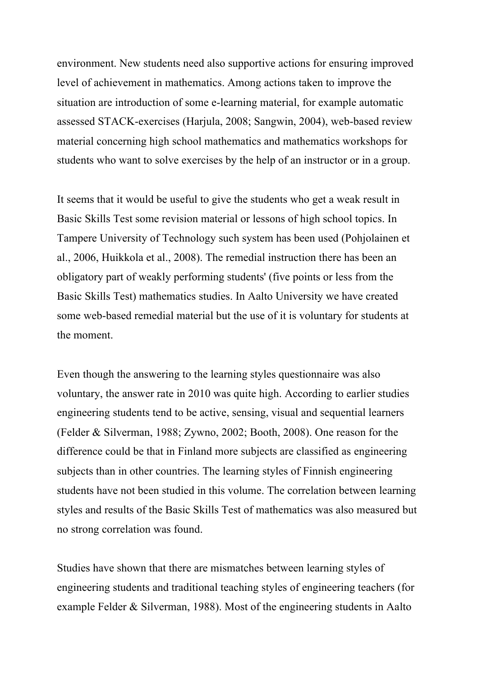environment. New students need also supportive actions for ensuring improved level of achievement in mathematics. Among actions taken to improve the situation are introduction of some e-learning material, for example automatic assessed STACK-exercises (Harjula, 2008; Sangwin, 2004), web-based review material concerning high school mathematics and mathematics workshops for students who want to solve exercises by the help of an instructor or in a group.

It seems that it would be useful to give the students who get a weak result in Basic Skills Test some revision material or lessons of high school topics. In Tampere University of Technology such system has been used (Pohjolainen et al., 2006, Huikkola et al., 2008). The remedial instruction there has been an obligatory part of weakly performing students' (five points or less from the Basic Skills Test) mathematics studies. In Aalto University we have created some web-based remedial material but the use of it is voluntary for students at the moment.

Even though the answering to the learning styles questionnaire was also voluntary, the answer rate in 2010 was quite high. According to earlier studies engineering students tend to be active, sensing, visual and sequential learners (Felder & Silverman, 1988; Zywno, 2002; Booth, 2008). One reason for the difference could be that in Finland more subjects are classified as engineering subjects than in other countries. The learning styles of Finnish engineering students have not been studied in this volume. The correlation between learning styles and results of the Basic Skills Test of mathematics was also measured but no strong correlation was found.

Studies have shown that there are mismatches between learning styles of engineering students and traditional teaching styles of engineering teachers (for example Felder & Silverman, 1988). Most of the engineering students in Aalto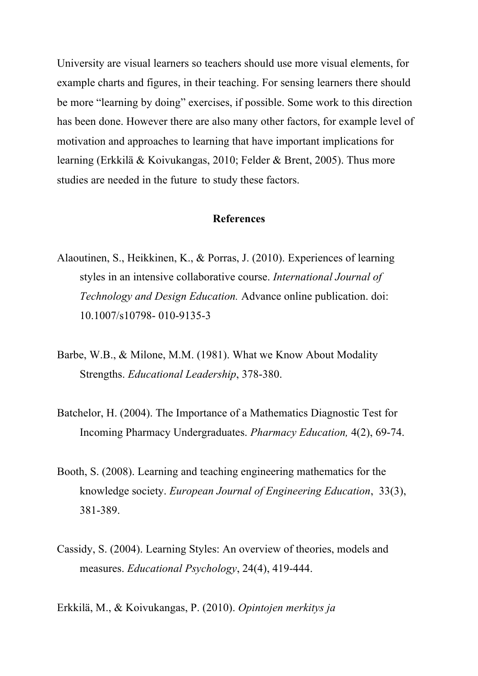University are visual learners so teachers should use more visual elements, for example charts and figures, in their teaching. For sensing learners there should be more "learning by doing" exercises, if possible. Some work to this direction has been done. However there are also many other factors, for example level of motivation and approaches to learning that have important implications for learning (Erkkilä & Koivukangas, 2010; Felder & Brent, 2005). Thus more studies are needed in the future to study these factors.

#### **References**

- Alaoutinen, S., Heikkinen, K., & Porras, J. (2010). Experiences of learning styles in an intensive collaborative course. *International Journal of Technology and Design Education.* Advance online publication. doi: 10.1007/s10798- 010-9135-3
- Barbe, W.B., & Milone, M.M. (1981). What we Know About Modality Strengths. *Educational Leadership*, 378-380.
- Batchelor, H. (2004). The Importance of a Mathematics Diagnostic Test for Incoming Pharmacy Undergraduates. *Pharmacy Education,* 4(2), 69-74.
- Booth, S. (2008). Learning and teaching engineering mathematics for the knowledge society. *European Journal of Engineering Education*, 33(3), 381-389.
- Cassidy, S. (2004). Learning Styles: An overview of theories, models and measures. *Educational Psychology*, 24(4), 419-444.
- Erkkilä, M., & Koivukangas, P. (2010). *Opintojen merkitys ja*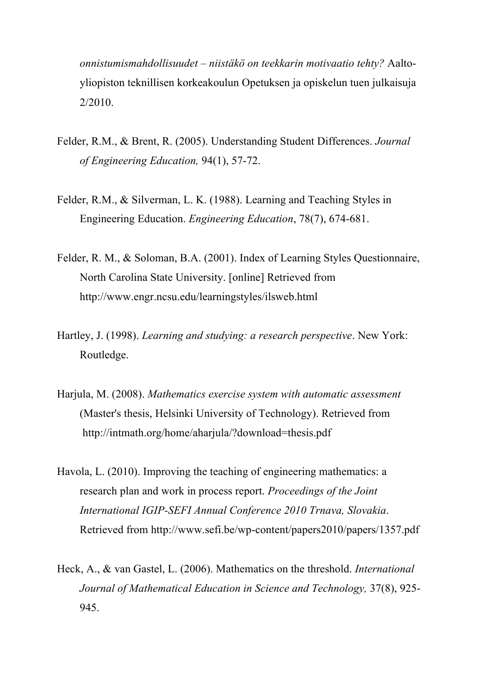*onnistumismahdollisuudet – niistäkö on teekkarin motivaatio tehty?* Aaltoyliopiston teknillisen korkeakoulun Opetuksen ja opiskelun tuen julkaisuja 2/2010.

- Felder, R.M., & Brent, R. (2005). Understanding Student Differences. *Journal of Engineering Education,* 94(1), 57-72.
- Felder, R.M., & Silverman, L. K. (1988). Learning and Teaching Styles in Engineering Education. *Engineering Education*, 78(7), 674-681.
- Felder, R. M., & Soloman, B.A. (2001). Index of Learning Styles Questionnaire, North Carolina State University. [online] Retrieved from http://www.engr.ncsu.edu/learningstyles/ilsweb.html
- Hartley, J. (1998). *Learning and studying: a research perspective*. New York: Routledge.
- Harjula, M. (2008). *Mathematics exercise system with automatic assessment*  (Master's thesis, Helsinki University of Technology). Retrieved from http://intmath.org/home/aharjula/?download=thesis.pdf
- Havola, L. (2010). Improving the teaching of engineering mathematics: a research plan and work in process report. *Proceedings of the Joint International IGIP-SEFI Annual Conference 2010 Trnava, Slovakia*. Retrieved from http://www.sefi.be/wp-content/papers2010/papers/1357.pdf
- Heck, A., & van Gastel, L. (2006). Mathematics on the threshold. *International Journal of Mathematical Education in Science and Technology,* 37(8), 925- 945.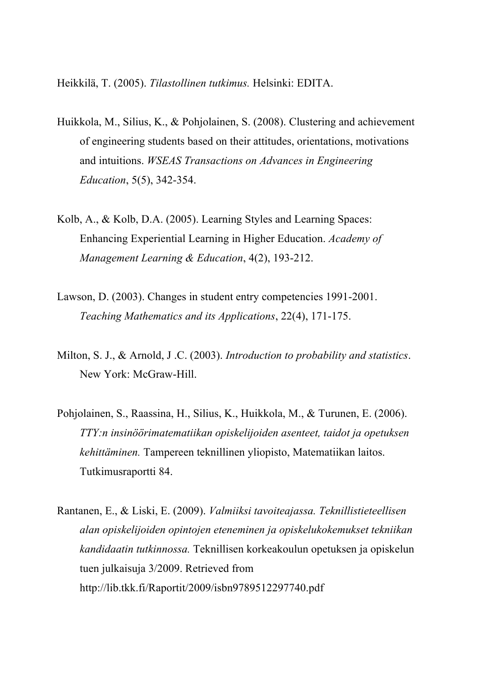Heikkilä, T. (2005). *Tilastollinen tutkimus.* Helsinki: EDITA.

- Huikkola, M., Silius, K., & Pohjolainen, S. (2008). Clustering and achievement of engineering students based on their attitudes, orientations, motivations and intuitions. *WSEAS Transactions on Advances in Engineering Education*, 5(5), 342-354.
- Kolb, A., & Kolb, D.A. (2005). Learning Styles and Learning Spaces: Enhancing Experiential Learning in Higher Education. *Academy of Management Learning & Education*, 4(2), 193-212.
- Lawson, D. (2003). Changes in student entry competencies 1991-2001. *Teaching Mathematics and its Applications*, 22(4), 171-175.
- Milton, S. J., & Arnold, J .C. (2003). *Introduction to probability and statistics*. New York: McGraw-Hill.
- Pohjolainen, S., Raassina, H., Silius, K., Huikkola, M., & Turunen, E. (2006). *TTY:n insinöörimatematiikan opiskelijoiden asenteet, taidot ja opetuksen kehittäminen.* Tampereen teknillinen yliopisto, Matematiikan laitos. Tutkimusraportti 84.
- Rantanen, E., & Liski, E. (2009). *Valmiiksi tavoiteajassa. Teknillistieteellisen alan opiskelijoiden opintojen eteneminen ja opiskelukokemukset tekniikan kandidaatin tutkinnossa.* Teknillisen korkeakoulun opetuksen ja opiskelun tuen julkaisuja 3/2009. Retrieved from http://lib.tkk.fi/Raportit/2009/isbn9789512297740.pdf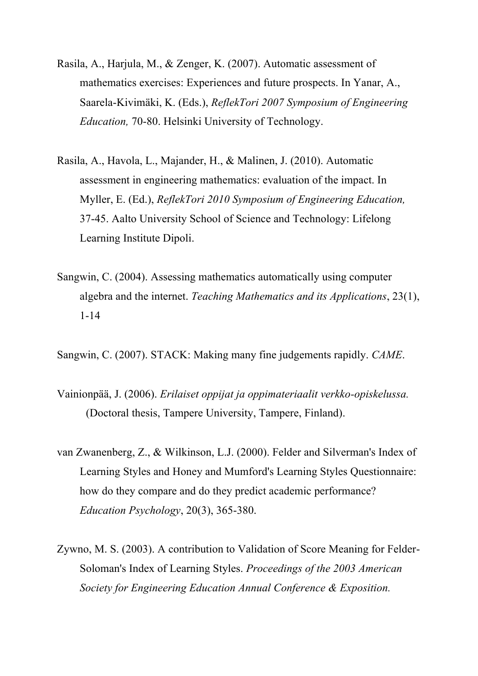- Rasila, A., Harjula, M., & Zenger, K. (2007). Automatic assessment of mathematics exercises: Experiences and future prospects. In Yanar, A., Saarela-Kivimäki, K. (Eds.), *ReflekTori 2007 Symposium of Engineering Education,* 70-80. Helsinki University of Technology.
- Rasila, A., Havola, L., Majander, H., & Malinen, J. (2010). Automatic assessment in engineering mathematics: evaluation of the impact. In Myller, E. (Ed.), *ReflekTori 2010 Symposium of Engineering Education,* 37-45. Aalto University School of Science and Technology: Lifelong Learning Institute Dipoli.
- Sangwin, C. (2004). Assessing mathematics automatically using computer algebra and the internet. *Teaching Mathematics and its Applications*, 23(1), 1-14

Sangwin, C. (2007). STACK: Making many fine judgements rapidly. *CAME*.

- Vainionpää, J. (2006). *Erilaiset oppijat ja oppimateriaalit verkko-opiskelussa.* (Doctoral thesis, Tampere University, Tampere, Finland).
- van Zwanenberg, Z., & Wilkinson, L.J. (2000). Felder and Silverman's Index of Learning Styles and Honey and Mumford's Learning Styles Questionnaire: how do they compare and do they predict academic performance? *Education Psychology*, 20(3), 365-380.
- Zywno, M. S. (2003). A contribution to Validation of Score Meaning for Felder-Soloman's Index of Learning Styles. *Proceedings of the 2003 American Society for Engineering Education Annual Conference & Exposition.*